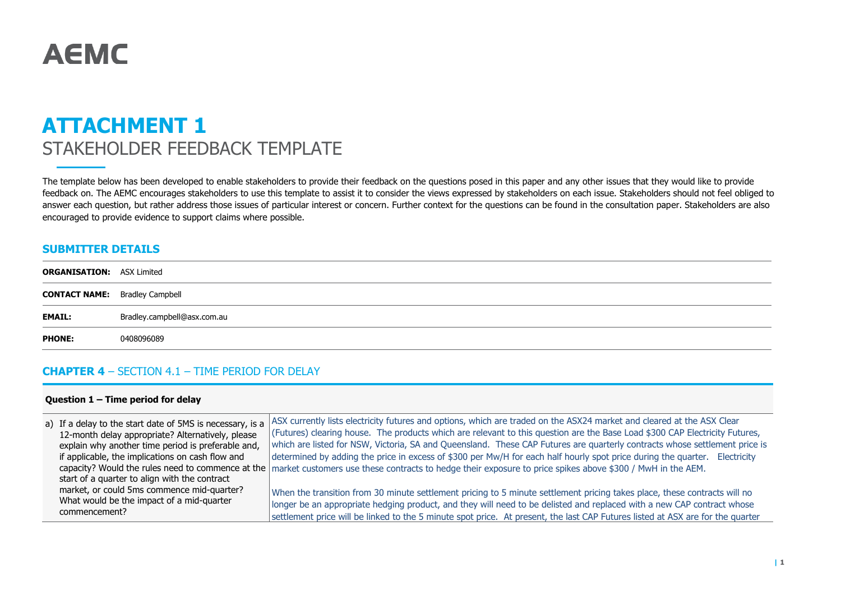# **AEMC**

# **ATTACHMENT 1** STAKEHOLDER FEEDBACK TEMPLATE

The template below has been developed to enable stakeholders to provide their feedback on the questions posed in this paper and any other issues that they would like to provide feedback on. The AEMC encourages stakeholders to use this template to assist it to consider the views expressed by stakeholders on each issue. Stakeholders should not feel obliged to answer each question, but rather address those issues of particular interest or concern. Further context for the questions can be found in the consultation paper. Stakeholders are also encouraged to provide evidence to support claims where possible.

### **SUBMITTER DETAILS**

| <b>ORGANISATION: ASX Limited</b>      |                             |
|---------------------------------------|-----------------------------|
| <b>CONTACT NAME:</b> Bradley Campbell |                             |
| <b>EMAIL:</b>                         | Bradley.campbell@asx.com.au |
| <b>PHONE:</b>                         | 0408096089                  |

#### **CHAPTER 4** – SECTION 4.1 – TIME PERIOD FOR DELAY

#### **Question 1 – Time period for delay**

| a) If a delay to the start date of 5MS is necessary, is a<br>12-month delay appropriate? Alternatively, please | ASX currently lists electricity futures and options, which are traded on the ASX24 market and cleared at the ASX Clear<br>(Futures) clearing house. The products which are relevant to this question are the Base Load \$300 CAP Electricity Futures, |
|----------------------------------------------------------------------------------------------------------------|-------------------------------------------------------------------------------------------------------------------------------------------------------------------------------------------------------------------------------------------------------|
|                                                                                                                | which are listed for NSW, Victoria, SA and Queensland. These CAP Futures are quarterly contracts whose settlement price is                                                                                                                            |
| explain why another time period is preferable and,                                                             |                                                                                                                                                                                                                                                       |
| if applicable, the implications on cash flow and                                                               | determined by adding the price in excess of \$300 per Mw/H for each half hourly spot price during the quarter. Electricity                                                                                                                            |
|                                                                                                                | capacity? Would the rules need to commence at the market customers use these contracts to hedge their exposure to price spikes above \$300 / MwH in the AEM.                                                                                          |
| start of a quarter to align with the contract                                                                  |                                                                                                                                                                                                                                                       |
| market, or could 5ms commence mid-quarter?                                                                     | When the transition from 30 minute settlement pricing to 5 minute settlement pricing takes place, these contracts will no                                                                                                                             |
| What would be the impact of a mid-quarter                                                                      | longer be an appropriate hedging product, and they will need to be delisted and replaced with a new CAP contract whose                                                                                                                                |
| commencement?                                                                                                  | settlement price will be linked to the 5 minute spot price. At present, the last CAP Futures listed at ASX are for the quarter                                                                                                                        |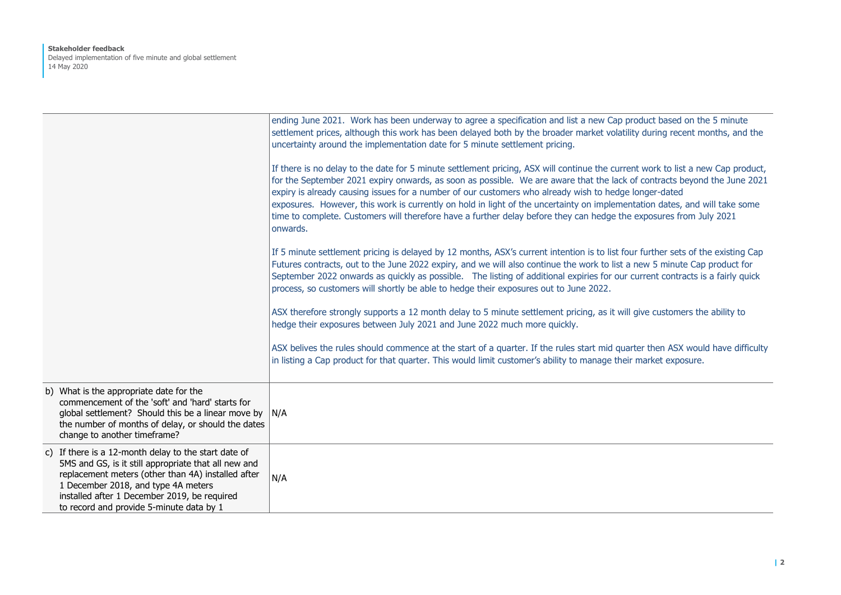#### **Stakeholder feedback** Delayed implementation of five minute and global settlement 14 May 2020

|                                                                                                                                                                                                                                                                                                       | ending June 2021. Work has been underway to agree a specification and list a new Cap product based on the 5 minute<br>settlement prices, although this work has been delayed both by the broader market volatility during recent months, and the<br>uncertainty around the implementation date for 5 minute settlement pricing.                                                                                                                                                                                                                                                                                                      |
|-------------------------------------------------------------------------------------------------------------------------------------------------------------------------------------------------------------------------------------------------------------------------------------------------------|--------------------------------------------------------------------------------------------------------------------------------------------------------------------------------------------------------------------------------------------------------------------------------------------------------------------------------------------------------------------------------------------------------------------------------------------------------------------------------------------------------------------------------------------------------------------------------------------------------------------------------------|
|                                                                                                                                                                                                                                                                                                       | If there is no delay to the date for 5 minute settlement pricing, ASX will continue the current work to list a new Cap product,<br>for the September 2021 expiry onwards, as soon as possible. We are aware that the lack of contracts beyond the June 2021<br>expiry is already causing issues for a number of our customers who already wish to hedge longer-dated<br>exposures. However, this work is currently on hold in light of the uncertainty on implementation dates, and will take some<br>time to complete. Customers will therefore have a further delay before they can hedge the exposures from July 2021<br>onwards. |
|                                                                                                                                                                                                                                                                                                       | If 5 minute settlement pricing is delayed by 12 months, ASX's current intention is to list four further sets of the existing Cap<br>Futures contracts, out to the June 2022 expiry, and we will also continue the work to list a new 5 minute Cap product for<br>September 2022 onwards as quickly as possible. The listing of additional expiries for our current contracts is a fairly quick<br>process, so customers will shortly be able to hedge their exposures out to June 2022.                                                                                                                                              |
|                                                                                                                                                                                                                                                                                                       | ASX therefore strongly supports a 12 month delay to 5 minute settlement pricing, as it will give customers the ability to<br>hedge their exposures between July 2021 and June 2022 much more quickly.                                                                                                                                                                                                                                                                                                                                                                                                                                |
|                                                                                                                                                                                                                                                                                                       | ASX belives the rules should commence at the start of a quarter. If the rules start mid quarter then ASX would have difficulty<br>in listing a Cap product for that quarter. This would limit customer's ability to manage their market exposure.                                                                                                                                                                                                                                                                                                                                                                                    |
| b) What is the appropriate date for the<br>commencement of the 'soft' and 'hard' starts for<br>global settlement? Should this be a linear move by<br>the number of months of delay, or should the dates<br>change to another timeframe?                                                               | N/A                                                                                                                                                                                                                                                                                                                                                                                                                                                                                                                                                                                                                                  |
| c) If there is a 12-month delay to the start date of<br>5MS and GS, is it still appropriate that all new and<br>replacement meters (other than 4A) installed after<br>1 December 2018, and type 4A meters<br>installed after 1 December 2019, be required<br>to record and provide 5-minute data by 1 | N/A                                                                                                                                                                                                                                                                                                                                                                                                                                                                                                                                                                                                                                  |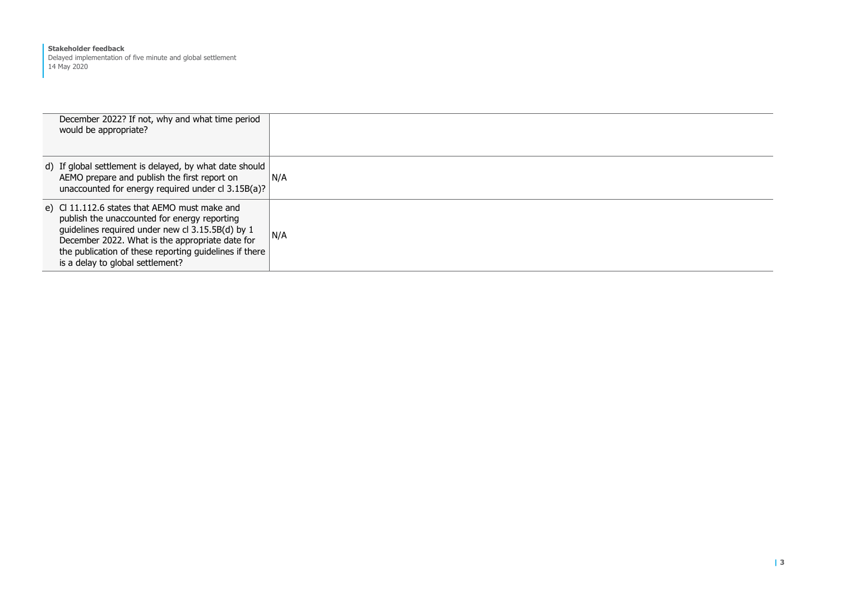#### **Stakeholder feedback**

Delayed implementation of five minute and global settlement 14 May 2020

| December 2022? If not, why and what time period<br>would be appropriate?                                                                                                                                                                                                                          |     |
|---------------------------------------------------------------------------------------------------------------------------------------------------------------------------------------------------------------------------------------------------------------------------------------------------|-----|
| d) If global settlement is delayed, by what date should<br>AEMO prepare and publish the first report on<br>unaccounted for energy required under cl 3.15B(a)?                                                                                                                                     | N/A |
| e) C 11.112.6 states that AEMO must make and<br>publish the unaccounted for energy reporting<br>guidelines required under new cl 3.15.5B(d) by 1<br>December 2022. What is the appropriate date for<br>the publication of these reporting guidelines if there<br>is a delay to global settlement? | N/A |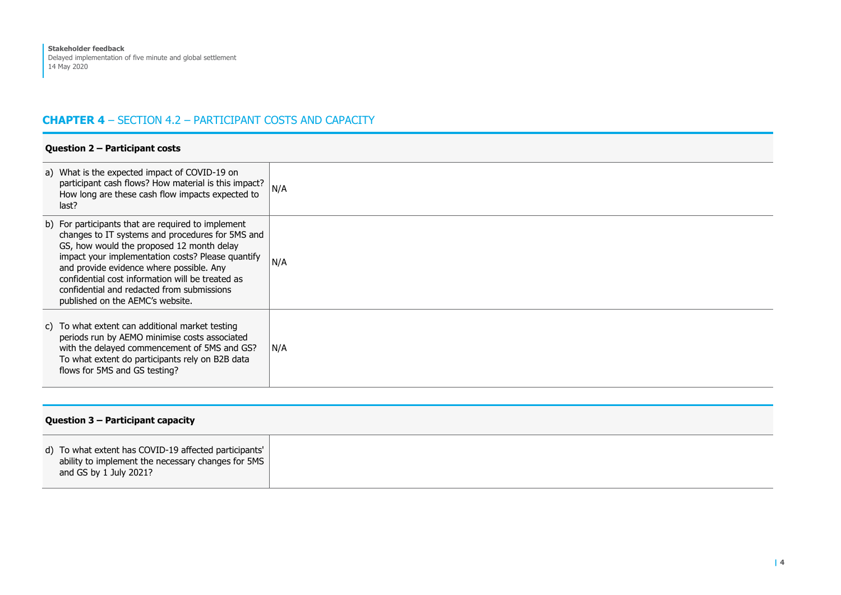# **CHAPTER 4** – SECTION 4.2 – PARTICIPANT COSTS AND CAPACITY

#### **Question 2 – Participant costs**

| a) What is the expected impact of COVID-19 on<br>participant cash flows? How material is this impact?<br>How long are these cash flow impacts expected to<br>last?                                                                                                                                                                                                                         | N/A |
|--------------------------------------------------------------------------------------------------------------------------------------------------------------------------------------------------------------------------------------------------------------------------------------------------------------------------------------------------------------------------------------------|-----|
| b) For participants that are required to implement<br>changes to IT systems and procedures for 5MS and<br>GS, how would the proposed 12 month delay<br>impact your implementation costs? Please quantify<br>and provide evidence where possible. Any<br>confidential cost information will be treated as<br>confidential and redacted from submissions<br>published on the AEMC's website. | N/A |
| c) To what extent can additional market testing<br>periods run by AEMO minimise costs associated<br>with the delayed commencement of 5MS and GS?<br>To what extent do participants rely on B2B data<br>flows for 5MS and GS testing?                                                                                                                                                       | N/A |

#### **Question 3 – Participant capacity**

| d) To what extent has COVID-19 affected participants'<br>ability to implement the necessary changes for 5MS |  |
|-------------------------------------------------------------------------------------------------------------|--|
|-------------------------------------------------------------------------------------------------------------|--|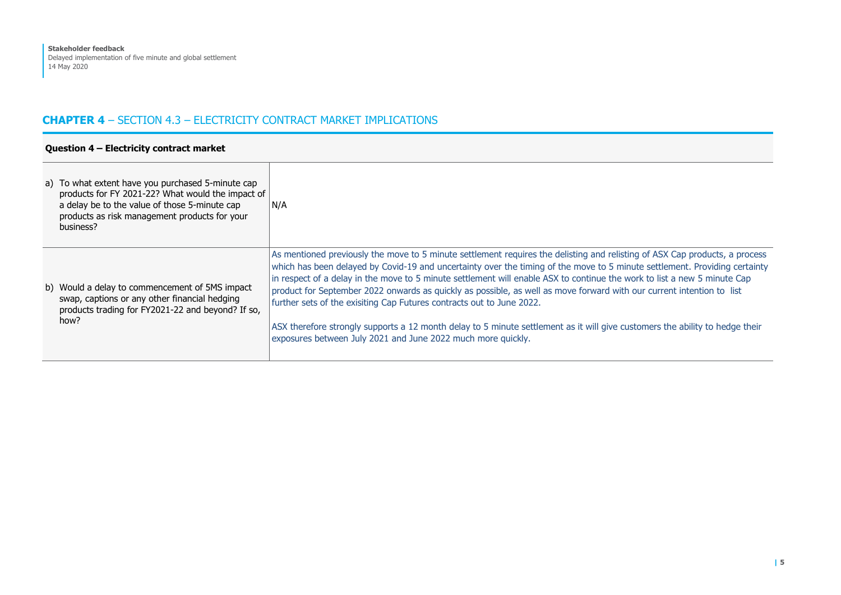## **CHAPTER 4** – SECTION 4.3 – ELECTRICITY CONTRACT MARKET IMPLICATIONS

| Question 4 - Electricity contract market |                                                                                                                                                                                                                       |                                                                                                                                                                                                                                                                                                                                                                                                                                                                                                                                                                                                                                                                                                                                                                                         |
|------------------------------------------|-----------------------------------------------------------------------------------------------------------------------------------------------------------------------------------------------------------------------|-----------------------------------------------------------------------------------------------------------------------------------------------------------------------------------------------------------------------------------------------------------------------------------------------------------------------------------------------------------------------------------------------------------------------------------------------------------------------------------------------------------------------------------------------------------------------------------------------------------------------------------------------------------------------------------------------------------------------------------------------------------------------------------------|
|                                          | a) To what extent have you purchased 5-minute cap<br>products for FY 2021-22? What would the impact of<br>a delay be to the value of those 5-minute cap<br>products as risk management products for your<br>business? | N/A                                                                                                                                                                                                                                                                                                                                                                                                                                                                                                                                                                                                                                                                                                                                                                                     |
|                                          | b) Would a delay to commencement of 5MS impact<br>swap, captions or any other financial hedging<br>products trading for FY2021-22 and beyond? If so,<br>how?                                                          | As mentioned previously the move to 5 minute settlement requires the delisting and relisting of ASX Cap products, a process<br>which has been delayed by Covid-19 and uncertainty over the timing of the move to 5 minute settlement. Providing certainty<br>in respect of a delay in the move to 5 minute settlement will enable ASX to continue the work to list a new 5 minute Cap<br>product for September 2022 onwards as quickly as possible, as well as move forward with our current intention to list<br>further sets of the exisiting Cap Futures contracts out to June 2022.<br>ASX therefore strongly supports a 12 month delay to 5 minute settlement as it will give customers the ability to hedge their<br>exposures between July 2021 and June 2022 much more quickly. |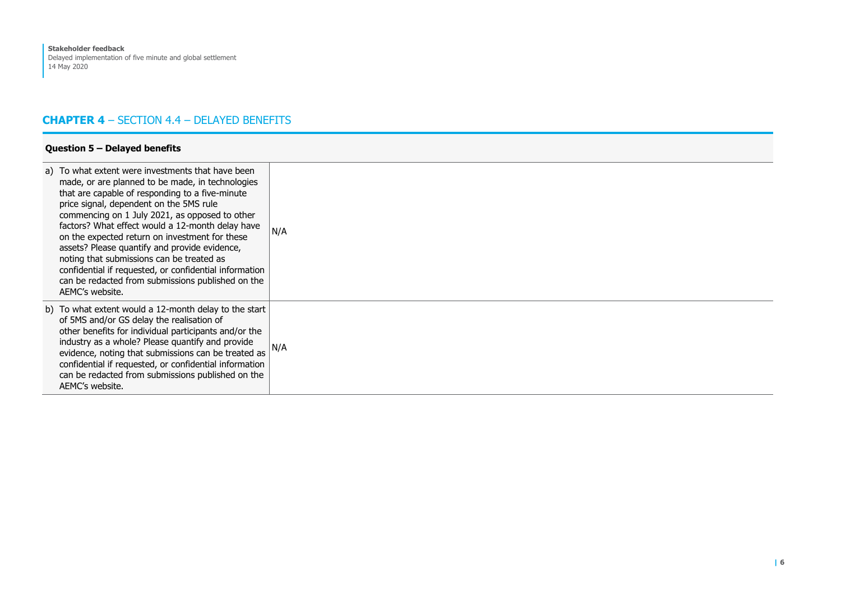#### **CHAPTER 4** – SECTION 4.4 – DELAYED BENEFITS

| Question 5 - Delayed benefits                                                                                                                                                                                                                                                                                                                                                                                                                                                                                                                                                               |     |  |
|---------------------------------------------------------------------------------------------------------------------------------------------------------------------------------------------------------------------------------------------------------------------------------------------------------------------------------------------------------------------------------------------------------------------------------------------------------------------------------------------------------------------------------------------------------------------------------------------|-----|--|
| a) To what extent were investments that have been<br>made, or are planned to be made, in technologies<br>that are capable of responding to a five-minute<br>price signal, dependent on the 5MS rule<br>commencing on 1 July 2021, as opposed to other<br>factors? What effect would a 12-month delay have<br>on the expected return on investment for these<br>assets? Please quantify and provide evidence,<br>noting that submissions can be treated as<br>confidential if requested, or confidential information<br>can be redacted from submissions published on the<br>AEMC's website. | N/A |  |
| b) To what extent would a 12-month delay to the start<br>of 5MS and/or GS delay the realisation of<br>other benefits for individual participants and/or the<br>industry as a whole? Please quantify and provide<br>evidence, noting that submissions can be treated as<br>confidential if requested, or confidential information<br>can be redacted from submissions published on the<br>AEMC's website.                                                                                                                                                                                    | N/A |  |